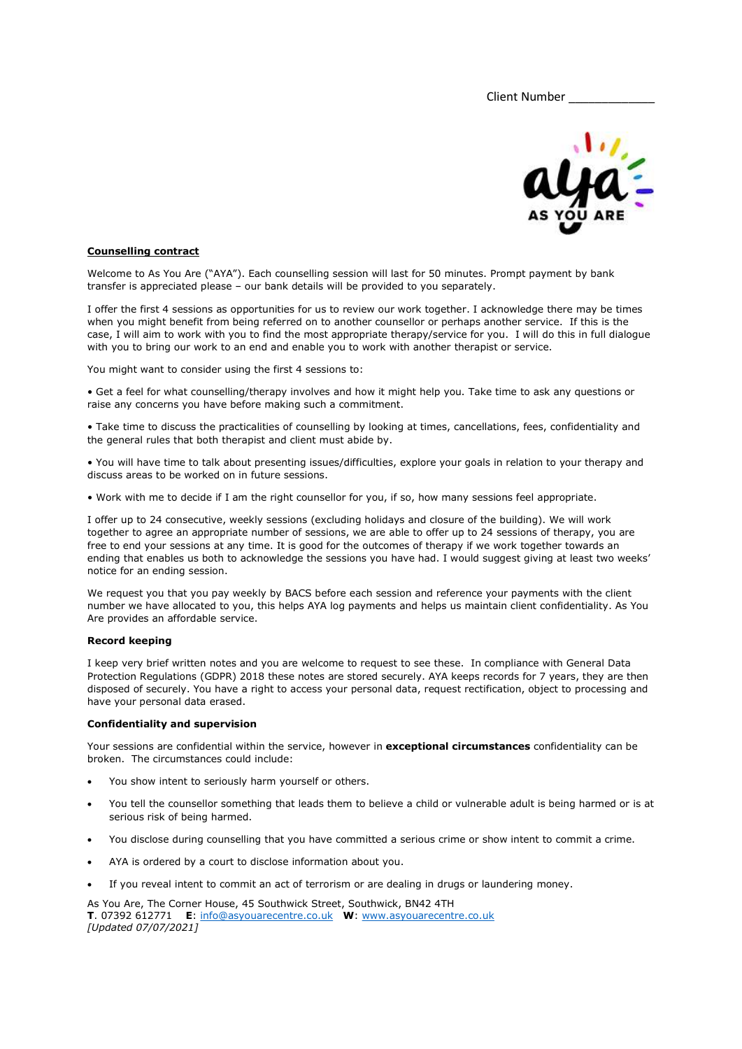Client Number



# Counselling contract

Welcome to As You Are ("AYA"). Each counselling session will last for 50 minutes. Prompt payment by bank transfer is appreciated please – our bank details will be provided to you separately.

I offer the first 4 sessions as opportunities for us to review our work together. I acknowledge there may be times when you might benefit from being referred on to another counsellor or perhaps another service. If this is the case, I will aim to work with you to find the most appropriate therapy/service for you. I will do this in full dialogue with you to bring our work to an end and enable you to work with another therapist or service.

You might want to consider using the first 4 sessions to:

• Get a feel for what counselling/therapy involves and how it might help you. Take time to ask any questions or raise any concerns you have before making such a commitment.

• Take time to discuss the practicalities of counselling by looking at times, cancellations, fees, confidentiality and the general rules that both therapist and client must abide by.

• You will have time to talk about presenting issues/difficulties, explore your goals in relation to your therapy and discuss areas to be worked on in future sessions.

• Work with me to decide if I am the right counsellor for you, if so, how many sessions feel appropriate.

I offer up to 24 consecutive, weekly sessions (excluding holidays and closure of the building). We will work together to agree an appropriate number of sessions, we are able to offer up to 24 sessions of therapy, you are free to end your sessions at any time. It is good for the outcomes of therapy if we work together towards an ending that enables us both to acknowledge the sessions you have had. I would suggest giving at least two weeks' notice for an ending session.

We request you that you pay weekly by BACS before each session and reference your payments with the client number we have allocated to you, this helps AYA log payments and helps us maintain client confidentiality. As You Are provides an affordable service.

### Record keeping

I keep very brief written notes and you are welcome to request to see these. In compliance with General Data Protection Regulations (GDPR) 2018 these notes are stored securely. AYA keeps records for 7 years, they are then disposed of securely. You have a right to access your personal data, request rectification, object to processing and have your personal data erased.

### Confidentiality and supervision

Your sessions are confidential within the service, however in **exceptional circumstances** confidentiality can be broken. The circumstances could include:

- You show intent to seriously harm yourself or others.
- You tell the counsellor something that leads them to believe a child or vulnerable adult is being harmed or is at serious risk of being harmed.
- You disclose during counselling that you have committed a serious crime or show intent to commit a crime.
- AYA is ordered by a court to disclose information about you.
- If you reveal intent to commit an act of terrorism or are dealing in drugs or laundering money.

As You Are, The Corner House, 45 Southwick Street, Southwick, BN42 4TH T. 07392 612771 E: info@asyouarecentre.co.uk W: www.asyouarecentre.co.uk [Updated 07/07/2021]